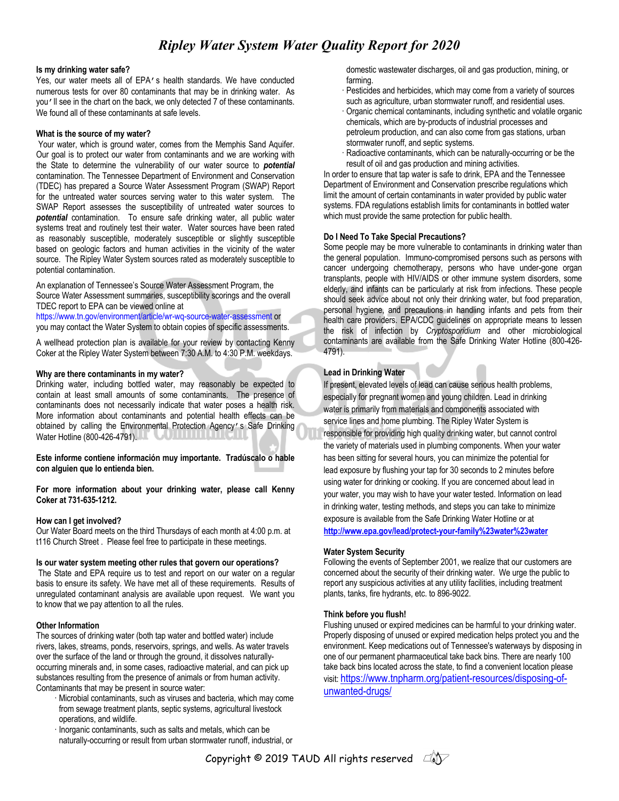# *Ripley Water System Water Quality Report for 2020*

#### **Is my drinking water safe?**

Yes, our water meets all of EPA's health standards. We have conducted numerous tests for over 80 contaminants that may be in drinking water. As you'll see in the chart on the back, we only detected 7 of these contaminants. We found all of these contaminants at safe levels.

#### **What is the source of my water?**

Your water, which is ground water, comes from the Memphis Sand Aquifer. Our goal is to protect our water from contaminants and we are working with the State to determine the vulnerability of our water source to *potential*  contamination. The Tennessee Department of Environment and Conservation (TDEC) has prepared a Source Water Assessment Program (SWAP) Report for the untreated water sources serving water to this water system. The SWAP Report assesses the susceptibility of untreated water sources to *potential* contamination. To ensure safe drinking water, all public water systems treat and routinely test their water. Water sources have been rated as reasonably susceptible, moderately susceptible or slightly susceptible based on geologic factors and human activities in the vicinity of the water source. The Ripley Water System sources rated as moderately susceptible to potential contamination.

An explanation of Tennessee's Source Water Assessment Program, the Source Water Assessment summaries, susceptibility scorings and the overall TDEC report to EPA can be viewed online at

https://www.tn.gov/environment/article/wr-wq-source-water-assessment or you may contact the Water System to obtain copies of specific assessments.

A wellhead protection plan is available for your review by contacting Kenny Coker at the Ripley Water System between 7:30 A.M. to 4:30 P.M. weekdays.

#### **Why are there contaminants in my water?**

Drinking water, including bottled water, may reasonably be expected to contain at least small amounts of some contaminants. The presence of contaminants does not necessarily indicate that water poses a health risk. More information about contaminants and potential health effects can be obtained by calling the Environmental Protection Agency's Safe Drinking Water Hotline (800-426-4791).

**Este informe contiene información muy importante. Tradúscalo o hable con alguien que lo entienda bien.**

**For more information about your drinking water, please call Kenny Coker at 731-635-1212.**

#### **How can I get involved?**

Our Water Board meets on the third Thursdays of each month at 4:00 p.m. at t116 Church Street . Please feel free to participate in these meetings.

#### **Is our water system meeting other rules that govern our operations?**

The State and EPA require us to test and report on our water on a regular basis to ensure its safety. We have met all of these requirements. Results of unregulated contaminant analysis are available upon request. We want you to know that we pay attention to all the rules.

#### **Other Information**

The sources of drinking water (both tap water and bottled water) include rivers, lakes, streams, ponds, reservoirs, springs, and wells. As water travels over the surface of the land or through the ground, it dissolves naturallyoccurring minerals and, in some cases, radioactive material, and can pick up substances resulting from the presence of animals or from human activity. Contaminants that may be present in source water:

- · Microbial contaminants, such as viruses and bacteria, which may come from sewage treatment plants, septic systems, agricultural livestock operations, and wildlife.
- · Inorganic contaminants, such as salts and metals, which can be naturally-occurring or result from urban stormwater runoff, industrial, or

domestic wastewater discharges, oil and gas production, mining, or farming.

- Pesticides and herbicides, which may come from a variety of sources such as agriculture, urban stormwater runoff, and residential uses.
- · Organic chemical contaminants, including synthetic and volatile organic chemicals, which are by-products of industrial processes and petroleum production, and can also come from gas stations, urban stormwater runoff, and septic systems.
- · Radioactive contaminants, which can be naturally-occurring or be the result of oil and gas production and mining activities.

In order to ensure that tap water is safe to drink, EPA and the Tennessee Department of Environment and Conservation prescribe regulations which limit the amount of certain contaminants in water provided by public water systems. FDA regulations establish limits for contaminants in bottled water which must provide the same protection for public health.

#### **Do I Need To Take Special Precautions?**

Some people may be more vulnerable to contaminants in drinking water than the general population. Immuno-compromised persons such as persons with cancer undergoing chemotherapy, persons who have under-gone organ transplants, people with HIV/AIDS or other immune system disorders, some elderly, and infants can be particularly at risk from infections. These people should seek advice about not only their drinking water, but food preparation, personal hygiene, and precautions in handling infants and pets from their health care providers. EPA/CDC guidelines on appropriate means to lessen the risk of infection by *Cryptosporidium* and other microbiological contaminants are available from the Safe Drinking Water Hotline (800-426- 4791).

### **Lead in Drinking Water**

If present, elevated levels of lead can cause serious health problems, especially for pregnant women and young children. Lead in drinking water is primarily from materials and components associated with service lines and home plumbing. The Ripley Water System is responsible for providing high quality drinking water, but cannot control the variety of materials used in plumbing components. When your water has been sitting for several hours, you can minimize the potential for lead exposure by flushing your tap for 30 seconds to 2 minutes before using water for drinking or cooking. If you are concerned about lead in your water, you may wish to have your water tested. Information on lead in drinking water, testing methods, and steps you can take to minimize exposure is available from the Safe Drinking Water Hotline or at **http://www.epa.gov/lead/protect-your-family%23water%23water**

#### **Water System Security**

Following the events of September 2001, we realize that our customers are concerned about the security of their drinking water. We urge the public to report any suspicious activities at any utility facilities, including treatment plants, tanks, fire hydrants, etc. to 896-9022.

#### **Think before you flush!**

Flushing unused or expired medicines can be harmful to your drinking water. Properly disposing of unused or expired medication helps protect you and the environment. Keep medications out of Tennessee's waterways by disposing in one of our permanent pharmaceutical take back bins. There are nearly 100 take back bins located across the state, to find a convenient location please visit: https://www.tnpharm.org/patient-resources/disposing-ofunwanted-drugs/

Copyright © 2019 TAUD All rights reserved  $\Box$